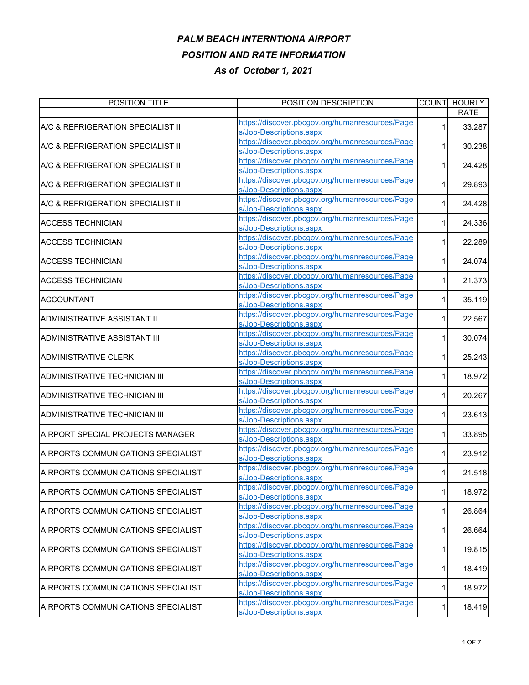| POSITION TITLE                     | POSITION DESCRIPTION                            | <b>COUNT</b> | <b>HOURLY</b> |
|------------------------------------|-------------------------------------------------|--------------|---------------|
|                                    |                                                 |              | <b>RATE</b>   |
| A/C & REFRIGERATION SPECIALIST II  | https://discover.pbcgov.org/humanresources/Page | 1            | 33.287        |
|                                    | s/Job-Descriptions.aspx                         |              |               |
| A/C & REFRIGERATION SPECIALIST II  | https://discover.pbcgov.org/humanresources/Page |              | 30.238        |
|                                    | s/Job-Descriptions.aspx                         |              |               |
| A/C & REFRIGERATION SPECIALIST II  | https://discover.pbcgov.org/humanresources/Page |              |               |
|                                    | s/Job-Descriptions.aspx                         |              | 24.428        |
|                                    | https://discover.pbcgov.org/humanresources/Page |              |               |
| A/C & REFRIGERATION SPECIALIST II  | s/Job-Descriptions.aspx                         |              | 29.893        |
|                                    | https://discover.pbcgov.org/humanresources/Page |              |               |
| A/C & REFRIGERATION SPECIALIST II  | s/Job-Descriptions.aspx                         |              | 24.428        |
|                                    | https://discover.pbcgov.org/humanresources/Page |              |               |
| <b>ACCESS TECHNICIAN</b>           | s/Job-Descriptions.aspx                         |              | 24.336        |
|                                    | https://discover.pbcgov.org/humanresources/Page |              |               |
| <b>ACCESS TECHNICIAN</b>           | s/Job-Descriptions.aspx                         |              | 22.289        |
|                                    | https://discover.pbcgov.org/humanresources/Page |              |               |
| <b>ACCESS TECHNICIAN</b>           | s/Job-Descriptions.aspx                         | 1            | 24.074        |
|                                    | https://discover.pbcgov.org/humanresources/Page |              |               |
| <b>ACCESS TECHNICIAN</b>           | s/Job-Descriptions.aspx                         | 1            | 21.373        |
|                                    | https://discover.pbcgov.org/humanresources/Page |              |               |
| <b>ACCOUNTANT</b>                  | s/Job-Descriptions.aspx                         |              | 35.119        |
|                                    | https://discover.pbcgov.org/humanresources/Page |              |               |
| ADMINISTRATIVE ASSISTANT II        |                                                 |              | 22.567        |
|                                    | s/Job-Descriptions.aspx                         |              |               |
| ADMINISTRATIVE ASSISTANT III       | https://discover.pbcgov.org/humanresources/Page |              | 30.074        |
|                                    | s/Job-Descriptions.aspx                         |              |               |
| <b>ADMINISTRATIVE CLERK</b>        | https://discover.pbcgov.org/humanresources/Page | 1            | 25.243        |
|                                    | s/Job-Descriptions.aspx                         |              |               |
| ADMINISTRATIVE TECHNICIAN III      | https://discover.pbcgov.org/humanresources/Page | 1            | 18.972        |
|                                    | s/Job-Descriptions.aspx                         |              |               |
| ADMINISTRATIVE TECHNICIAN III      | https://discover.pbcgov.org/humanresources/Page | 1.           | 20.267        |
|                                    | s/Job-Descriptions.aspx                         |              |               |
| ADMINISTRATIVE TECHNICIAN III      | https://discover.pbcgov.org/humanresources/Page | 1            | 23.613        |
|                                    | s/Job-Descriptions.aspx                         |              |               |
| AIRPORT SPECIAL PROJECTS MANAGER   | https://discover.pbcgov.org/humanresources/Page |              | 33.895        |
|                                    | s/Job-Descriptions.aspx                         |              |               |
| AIRPORTS COMMUNICATIONS SPECIALIST | https://discover.pbcgov.org/humanresources/Page | 1            | 23.912        |
|                                    | s/Job-Descriptions.aspx                         |              |               |
| AIRPORTS COMMUNICATIONS SPECIALIST | https://discover.pbcgov.org/humanresources/Page |              | 21.518        |
|                                    | s/Job-Descriptions.aspx                         |              |               |
| AIRPORTS COMMUNICATIONS SPECIALIST | https://discover.pbcgov.org/humanresources/Page | 1            | 18.972        |
|                                    | s/Job-Descriptions.aspx                         |              |               |
| AIRPORTS COMMUNICATIONS SPECIALIST | https://discover.pbcgov.org/humanresources/Page |              | 26.864        |
|                                    | s/Job-Descriptions.aspx                         | 1            |               |
|                                    | https://discover.pbcgov.org/humanresources/Page |              |               |
| AIRPORTS COMMUNICATIONS SPECIALIST | s/Job-Descriptions.aspx                         | 1            | 26.664        |
| AIRPORTS COMMUNICATIONS SPECIALIST | https://discover.pbcgov.org/humanresources/Page |              |               |
|                                    | s/Job-Descriptions.aspx                         | 1            | 19.815        |
| AIRPORTS COMMUNICATIONS SPECIALIST | https://discover.pbcgov.org/humanresources/Page |              |               |
|                                    | s/Job-Descriptions.aspx                         | 1            | 18.419        |
|                                    | https://discover.pbcgov.org/humanresources/Page |              |               |
| AIRPORTS COMMUNICATIONS SPECIALIST | s/Job-Descriptions.aspx                         | 1            | 18.972        |
|                                    | https://discover.pbcgov.org/humanresources/Page |              |               |
| AIRPORTS COMMUNICATIONS SPECIALIST | s/Job-Descriptions.aspx                         | 1            | 18.419        |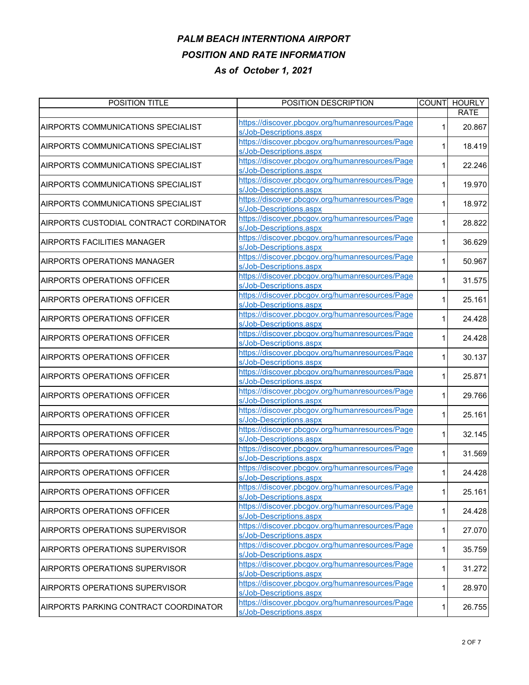| POSITION TITLE                         | POSITION DESCRIPTION                            |   | COUNT HOURLY |
|----------------------------------------|-------------------------------------------------|---|--------------|
|                                        |                                                 |   | <b>RATE</b>  |
| AIRPORTS COMMUNICATIONS SPECIALIST     | https://discover.pbcgov.org/humanresources/Page |   | 20.867       |
|                                        | s/Job-Descriptions.aspx                         |   |              |
|                                        | https://discover.pbcgov.org/humanresources/Page |   | 18.419       |
| AIRPORTS COMMUNICATIONS SPECIALIST     | s/Job-Descriptions.aspx                         |   |              |
|                                        | https://discover.pbcgov.org/humanresources/Page |   |              |
| AIRPORTS COMMUNICATIONS SPECIALIST     | s/Job-Descriptions.aspx                         |   | 22.246       |
|                                        | https://discover.pbcgov.org/humanresources/Page |   |              |
| AIRPORTS COMMUNICATIONS SPECIALIST     | s/Job-Descriptions.aspx                         |   | 19.970       |
|                                        | https://discover.pbcgov.org/humanresources/Page |   |              |
| AIRPORTS COMMUNICATIONS SPECIALIST     | s/Job-Descriptions.aspx                         |   | 18.972       |
|                                        | https://discover.pbcgov.org/humanresources/Page |   |              |
| AIRPORTS CUSTODIAL CONTRACT CORDINATOR | s/Job-Descriptions.aspx                         |   | 28.822       |
|                                        | https://discover.pbcgov.org/humanresources/Page |   |              |
| <b>AIRPORTS FACILITIES MANAGER</b>     | s/Job-Descriptions.aspx                         |   | 36.629       |
|                                        | https://discover.pbcgov.org/humanresources/Page |   |              |
| AIRPORTS OPERATIONS MANAGER            | s/Job-Descriptions.aspx                         |   | 50.967       |
|                                        | https://discover.pbcgov.org/humanresources/Page |   |              |
| <b>AIRPORTS OPERATIONS OFFICER</b>     |                                                 |   | 31.575       |
|                                        | s/Job-Descriptions.aspx                         |   |              |
| <b>AIRPORTS OPERATIONS OFFICER</b>     | https://discover.pbcgov.org/humanresources/Page |   | 25.161       |
|                                        | s/Job-Descriptions.aspx                         |   |              |
| <b>AIRPORTS OPERATIONS OFFICER</b>     | https://discover.pbcgov.org/humanresources/Page |   | 24.428       |
|                                        | s/Job-Descriptions.aspx                         |   |              |
| <b>AIRPORTS OPERATIONS OFFICER</b>     | https://discover.pbcgov.org/humanresources/Page |   | 24.428       |
|                                        | s/Job-Descriptions.aspx                         |   |              |
| <b>AIRPORTS OPERATIONS OFFICER</b>     | https://discover.pbcgov.org/humanresources/Page |   | 30.137       |
|                                        | s/Job-Descriptions.aspx                         |   |              |
| <b>AIRPORTS OPERATIONS OFFICER</b>     | https://discover.pbcgov.org/humanresources/Page |   | 25.871       |
|                                        | s/Job-Descriptions.aspx                         |   |              |
|                                        | https://discover.pbcgov.org/humanresources/Page |   | 29.766       |
| <b>AIRPORTS OPERATIONS OFFICER</b>     | s/Job-Descriptions.aspx                         |   |              |
|                                        | https://discover.pbcgov.org/humanresources/Page |   |              |
| <b>AIRPORTS OPERATIONS OFFICER</b>     | s/Job-Descriptions.aspx                         |   | 25.161       |
|                                        | https://discover.pbcgov.org/humanresources/Page |   |              |
| <b>AIRPORTS OPERATIONS OFFICER</b>     | s/Job-Descriptions.aspx                         |   | 32.145       |
|                                        | https://discover.pbcgov.org/humanresources/Page |   |              |
| <b>AIRPORTS OPERATIONS OFFICER</b>     | s/Job-Descriptions.aspx                         |   | 31.569       |
|                                        | https://discover.pbcgov.org/humanresources/Page |   |              |
| <b>AIRPORTS OPERATIONS OFFICER</b>     | s/Job-Descriptions.aspx                         |   | 24.428       |
|                                        | https://discover.pbcgov.org/humanresources/Page |   |              |
| <b>AIRPORTS OPERATIONS OFFICER</b>     | s/Job-Descriptions.aspx                         | 1 | 25.161       |
|                                        | https://discover.pbcgov.org/humanresources/Page |   |              |
| <b>AIRPORTS OPERATIONS OFFICER</b>     |                                                 | 1 | 24.428       |
|                                        | s/Job-Descriptions.aspx                         |   |              |
| AIRPORTS OPERATIONS SUPERVISOR         | https://discover.pbcgov.org/humanresources/Page | 1 | 27.070       |
|                                        | s/Job-Descriptions.aspx                         |   |              |
| <b>AIRPORTS OPERATIONS SUPERVISOR</b>  | https://discover.pbcgov.org/humanresources/Page | 1 | 35.759       |
|                                        | s/Job-Descriptions.aspx                         |   |              |
| AIRPORTS OPERATIONS SUPERVISOR         | https://discover.pbcgov.org/humanresources/Page | 1 | 31.272       |
|                                        | s/Job-Descriptions.aspx                         |   |              |
| <b>AIRPORTS OPERATIONS SUPERVISOR</b>  | https://discover.pbcgov.org/humanresources/Page | 1 | 28.970       |
|                                        | s/Job-Descriptions.aspx                         |   |              |
| AIRPORTS PARKING CONTRACT COORDINATOR  | https://discover.pbcgov.org/humanresources/Page | 1 | 26.755       |
|                                        | s/Job-Descriptions.aspx                         |   |              |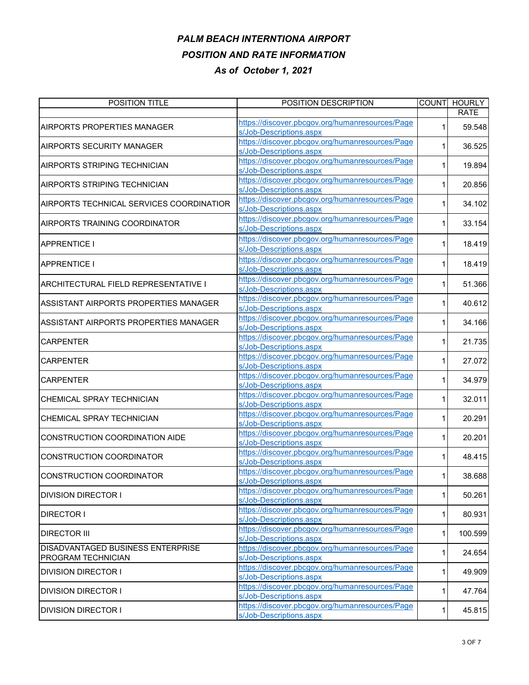| POSITION TITLE                           | POSITION DESCRIPTION                            | <b>COUNT</b> | <b>HOURLY</b> |
|------------------------------------------|-------------------------------------------------|--------------|---------------|
|                                          |                                                 |              | <b>RATE</b>   |
| AIRPORTS PROPERTIES MANAGER              | https://discover.pbcgov.org/humanresources/Page |              | 59.548        |
|                                          | s/Job-Descriptions.aspx                         |              |               |
| AIRPORTS SECURITY MANAGER                | https://discover.pbcgov.org/humanresources/Page |              | 36.525        |
|                                          | s/Job-Descriptions.aspx                         |              |               |
| AIRPORTS STRIPING TECHNICIAN             | https://discover.pbcgov.org/humanresources/Page |              | 19.894        |
|                                          | s/Job-Descriptions.aspx                         |              |               |
| AIRPORTS STRIPING TECHNICIAN             | https://discover.pbcgov.org/humanresources/Page |              | 20.856        |
|                                          | s/Job-Descriptions.aspx                         |              |               |
| AIRPORTS TECHNICAL SERVICES COORDINATIOR | https://discover.pbcgov.org/humanresources/Page |              | 34.102        |
|                                          | s/Job-Descriptions.aspx                         |              |               |
| AIRPORTS TRAINING COORDINATOR            | https://discover.pbcgov.org/humanresources/Page | 1.           | 33.154        |
|                                          | s/Job-Descriptions.aspx                         |              |               |
| <b>APPRENTICE I</b>                      | https://discover.pbcgov.org/humanresources/Page | 1.           | 18.419        |
|                                          | s/Job-Descriptions.aspx                         |              |               |
|                                          | https://discover.pbcgov.org/humanresources/Page | 1            |               |
| <b>APPRENTICE I</b>                      | s/Job-Descriptions.aspx                         |              | 18.419        |
|                                          | https://discover.pbcgov.org/humanresources/Page |              |               |
| ARCHITECTURAL FIELD REPRESENTATIVE I     | s/Job-Descriptions.aspx                         |              | 51.366        |
|                                          | https://discover.pbcgov.org/humanresources/Page |              |               |
| ASSISTANT AIRPORTS PROPERTIES MANAGER    | s/Job-Descriptions.aspx                         | 1            | 40.612        |
|                                          | https://discover.pbcgov.org/humanresources/Page |              |               |
| ASSISTANT AIRPORTS PROPERTIES MANAGER    | s/Job-Descriptions.aspx                         |              | 34.166        |
|                                          | https://discover.pbcgov.org/humanresources/Page |              |               |
| <b>CARPENTER</b>                         | s/Job-Descriptions.aspx                         |              | 21.735        |
|                                          | https://discover.pbcgov.org/humanresources/Page |              |               |
| <b>CARPENTER</b>                         | s/Job-Descriptions.aspx                         |              | 27.072        |
|                                          | https://discover.pbcgov.org/humanresources/Page |              |               |
| <b>CARPENTER</b>                         | s/Job-Descriptions.aspx                         |              | 34.979        |
|                                          | https://discover.pbcgov.org/humanresources/Page |              |               |
| CHEMICAL SPRAY TECHNICIAN                | s/Job-Descriptions.aspx                         |              | 32.011        |
|                                          | https://discover.pbcgov.org/humanresources/Page |              |               |
| CHEMICAL SPRAY TECHNICIAN                | s/Job-Descriptions.aspx                         |              | 20.291        |
|                                          | https://discover.pbcgov.org/humanresources/Page |              |               |
| CONSTRUCTION COORDINATION AIDE           | s/Job-Descriptions.aspx                         | 1.           | 20.201        |
|                                          | https://discover.pbcgov.org/humanresources/Page |              |               |
| CONSTRUCTION COORDINATOR                 | s/Job-Descriptions.aspx                         | 1            | 48.415        |
|                                          | https://discover.pbcgov.org/humanresources/Page |              |               |
| CONSTRUCTION COORDINATOR                 | s/Job-Descriptions aspx                         |              | 38.688        |
| <b>DIVISION DIRECTOR I</b>               | https://discover.pbcgov.org/humanresources/Page |              | 50.261        |
|                                          | s/Job-Descriptions.aspx                         |              |               |
| <b>DIRECTOR I</b>                        | https://discover.pbcgov.org/humanresources/Page |              | 80.931        |
|                                          | s/Job-Descriptions.aspx                         |              |               |
| <b>DIRECTOR III</b>                      | https://discover.pbcgov.org/humanresources/Page | 1            | 100.599       |
|                                          | s/Job-Descriptions.aspx                         |              |               |
| DISADVANTAGED BUSINESS ENTERPRISE        | https://discover.pbcgov.org/humanresources/Page |              | 24.654        |
| PROGRAM TECHNICIAN                       | s/Job-Descriptions.aspx                         |              |               |
| <b>DIVISION DIRECTOR I</b>               | https://discover.pbcgov.org/humanresources/Page | 1            | 49.909        |
|                                          | s/Job-Descriptions.aspx                         |              |               |
| <b>DIVISION DIRECTOR I</b>               | https://discover.pbcgov.org/humanresources/Page | 1            | 47.764        |
|                                          | s/Job-Descriptions.aspx                         |              |               |
| <b>DIVISION DIRECTOR I</b>               | https://discover.pbcgov.org/humanresources/Page |              | 45.815        |
|                                          | s/Job-Descriptions.aspx                         |              |               |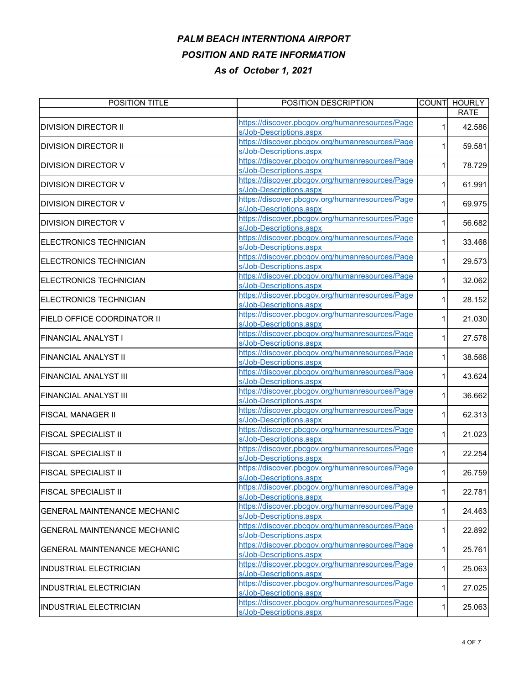| POSITION TITLE                      | POSITION DESCRIPTION                            | <b>COUNT</b> | <b>HOURLY</b> |
|-------------------------------------|-------------------------------------------------|--------------|---------------|
|                                     |                                                 |              | <b>RATE</b>   |
| <b>DIVISION DIRECTOR II</b>         | https://discover.pbcgov.org/humanresources/Page | 1            | 42.586        |
|                                     | s/Job-Descriptions.aspx                         |              |               |
| <b>DIVISION DIRECTOR II</b>         | https://discover.pbcgov.org/humanresources/Page |              | 59.581        |
|                                     | s/Job-Descriptions.aspx                         |              |               |
| DIVISION DIRECTOR V                 | https://discover.pbcgov.org/humanresources/Page | 1            | 78.729        |
|                                     | s/Job-Descriptions.aspx                         |              |               |
| DIVISION DIRECTOR V                 | https://discover.pbcgov.org/humanresources/Page |              | 61.991        |
|                                     | s/Job-Descriptions.aspx                         |              |               |
| DIVISION DIRECTOR V                 | https://discover.pbcgov.org/humanresources/Page | 1.           | 69.975        |
|                                     | s/Job-Descriptions.aspx                         |              |               |
| DIVISION DIRECTOR V                 | https://discover.pbcgov.org/humanresources/Page | 1            | 56.682        |
|                                     | s/Job-Descriptions.aspx                         |              |               |
| ELECTRONICS TECHNICIAN              | https://discover.pbcgov.org/humanresources/Page |              | 33.468        |
|                                     | s/Job-Descriptions.aspx                         |              |               |
| ELECTRONICS TECHNICIAN              | https://discover.pbcgov.org/humanresources/Page | 1            | 29.573        |
|                                     | s/Job-Descriptions.aspx                         |              |               |
| ELECTRONICS TECHNICIAN              | https://discover.pbcgov.org/humanresources/Page | 1            | 32.062        |
|                                     | s/Job-Descriptions.aspx                         |              |               |
| ELECTRONICS TECHNICIAN              | https://discover.pbcgov.org/humanresources/Page | 1            | 28.152        |
|                                     | s/Job-Descriptions.aspx                         |              |               |
| FIELD OFFICE COORDINATOR II         | https://discover.pbcgov.org/humanresources/Page |              | 21.030        |
|                                     | s/Job-Descriptions.aspx                         |              |               |
|                                     | https://discover.pbcgov.org/humanresources/Page |              |               |
| FINANCIAL ANALYST I                 | s/Job-Descriptions.aspx                         |              | 27.578        |
|                                     | https://discover.pbcgov.org/humanresources/Page | 1            |               |
| FINANCIAL ANALYST II                | s/Job-Descriptions.aspx                         |              | 38.568        |
| <b>FINANCIAL ANALYST III</b>        | https://discover.pbcgov.org/humanresources/Page |              | 43.624        |
|                                     | s/Job-Descriptions.aspx                         |              |               |
|                                     | https://discover.pbcgov.org/humanresources/Page |              |               |
| FINANCIAL ANALYST III               | s/Job-Descriptions.aspx                         | 1            | 36.662        |
|                                     | https://discover.pbcgov.org/humanresources/Page |              |               |
| FISCAL MANAGER II                   | s/Job-Descriptions.aspx                         | 1            | 62.313        |
|                                     | https://discover.pbcgov.org/humanresources/Page |              |               |
| FISCAL SPECIALIST II                | s/Job-Descriptions.aspx                         |              | 21.023        |
|                                     | https://discover.pbcgov.org/humanresources/Page |              |               |
| FISCAL SPECIALIST II                | s/Job-Descriptions.aspx                         | 1            | 22.254        |
|                                     | https://discover.pbcgov.org/humanresources/Page |              |               |
| <b>FISCAL SPECIALIST II</b>         | s/Job-Descriptions.aspx                         |              | 26.759        |
|                                     | https://discover.pbcgov.org/humanresources/Page |              |               |
| <b>FISCAL SPECIALIST II</b>         | s/Job-Descriptions.aspx                         | 1            | 22.781        |
|                                     | https://discover.pbcgov.org/humanresources/Page |              |               |
| <b>GENERAL MAINTENANCE MECHANIC</b> | s/Job-Descriptions.aspx                         |              | 24.463        |
|                                     | https://discover.pbcgov.org/humanresources/Page |              |               |
| <b>GENERAL MAINTENANCE MECHANIC</b> | s/Job-Descriptions.aspx                         | 1            | 22.892        |
| <b>GENERAL MAINTENANCE MECHANIC</b> | https://discover.pbcgov.org/humanresources/Page |              |               |
|                                     | s/Job-Descriptions.aspx                         | 1            | 25.761        |
| <b>INDUSTRIAL ELECTRICIAN</b>       | https://discover.pbcgov.org/humanresources/Page |              |               |
|                                     | s/Job-Descriptions.aspx                         | 1            | 25.063        |
| <b>INDUSTRIAL ELECTRICIAN</b>       | https://discover.pbcgov.org/humanresources/Page |              |               |
|                                     | s/Job-Descriptions.aspx                         | 1            | 27.025        |
|                                     | https://discover.pbcgov.org/humanresources/Page |              |               |
| <b>INDUSTRIAL ELECTRICIAN</b>       | s/Job-Descriptions.aspx                         | 1            | 25.063        |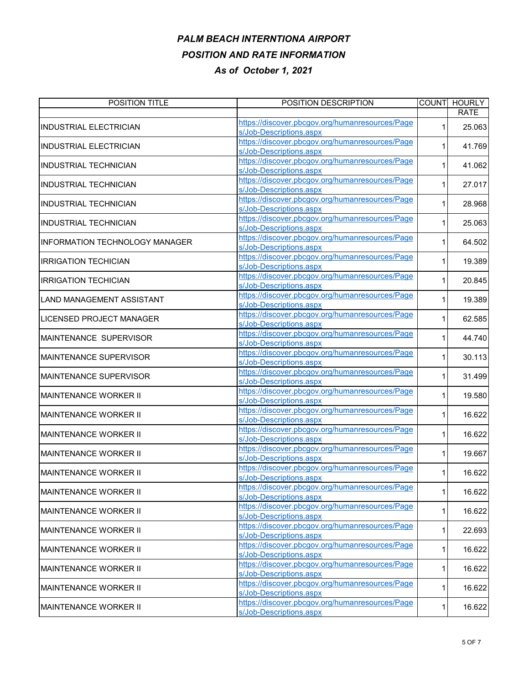| POSITION TITLE                  | POSITION DESCRIPTION                            | <b>COUNT</b> | <b>HOURLY</b> |
|---------------------------------|-------------------------------------------------|--------------|---------------|
|                                 |                                                 |              | <b>RATE</b>   |
| <b>INDUSTRIAL ELECTRICIAN</b>   | https://discover.pbcgov.org/humanresources/Page |              | 25.063        |
|                                 | s/Job-Descriptions.aspx                         |              |               |
| <b>INDUSTRIAL ELECTRICIAN</b>   | https://discover.pbcgov.org/humanresources/Page |              | 41.769        |
|                                 | s/Job-Descriptions.aspx                         |              |               |
| <b>INDUSTRIAL TECHNICIAN</b>    | https://discover.pbcgov.org/humanresources/Page |              | 41.062        |
|                                 | s/Job-Descriptions.aspx                         |              |               |
| <b>INDUSTRIAL TECHNICIAN</b>    | https://discover.pbcgov.org/humanresources/Page |              | 27.017        |
|                                 | s/Job-Descriptions.aspx                         |              |               |
| <b>INDUSTRIAL TECHNICIAN</b>    | https://discover.pbcgov.org/humanresources/Page |              | 28.968        |
|                                 | s/Job-Descriptions.aspx                         |              |               |
| <b>INDUSTRIAL TECHNICIAN</b>    | https://discover.pbcgov.org/humanresources/Page |              | 25.063        |
|                                 | s/Job-Descriptions.aspx                         |              |               |
| INFORMATION TECHNOLOGY MANAGER  | https://discover.pbcgov.org/humanresources/Page |              | 64.502        |
|                                 | s/Job-Descriptions.aspx                         |              |               |
| <b>IRRIGATION TECHICIAN</b>     | https://discover.pbcgov.org/humanresources/Page | 1            | 19.389        |
|                                 | s/Job-Descriptions.aspx                         |              |               |
| <b>IRRIGATION TECHICIAN</b>     | https://discover.pbcgov.org/humanresources/Page | 1            | 20.845        |
|                                 | s/Job-Descriptions.aspx                         |              |               |
| LAND MANAGEMENT ASSISTANT       | https://discover.pbcgov.org/humanresources/Page | 1            | 19.389        |
|                                 | s/Job-Descriptions.aspx                         |              |               |
| <b>LICENSED PROJECT MANAGER</b> | https://discover.pbcgov.org/humanresources/Page |              | 62.585        |
|                                 | s/Job-Descriptions.aspx                         |              |               |
| MAINTENANCE SUPERVISOR          | https://discover.pbcgov.org/humanresources/Page |              | 44.740        |
|                                 | s/Job-Descriptions.aspx                         |              |               |
| MAINTENANCE SUPERVISOR          | https://discover.pbcgov.org/humanresources/Page | 1            | 30.113        |
|                                 | s/Job-Descriptions.aspx                         |              |               |
| <b>MAINTENANCE SUPERVISOR</b>   | https://discover.pbcgov.org/humanresources/Page |              | 31.499        |
|                                 | s/Job-Descriptions.aspx                         |              |               |
| MAINTENANCE WORKER II           | https://discover.pbcgov.org/humanresources/Page | 1            | 19.580        |
|                                 | s/Job-Descriptions.aspx                         |              |               |
| <b>MAINTENANCE WORKER II</b>    | https://discover.pbcgov.org/humanresources/Page | 1            | 16.622        |
|                                 | s/Job-Descriptions.aspx                         |              |               |
|                                 | https://discover.pbcgov.org/humanresources/Page |              | 16.622        |
| MAINTENANCE WORKER II           | s/Job-Descriptions.aspx                         |              |               |
|                                 | https://discover.pbcgov.org/humanresources/Page | 1            |               |
| MAINTENANCE WORKER II           | s/Job-Descriptions.aspx                         |              | 19.667        |
|                                 | https://discover.pbcgov.org/humanresources/Page |              |               |
| <b>MAINTENANCE WORKER II</b>    | s/Job-Descriptions.aspx                         |              | 16.622        |
|                                 | https://discover.pbcgov.org/humanresources/Page |              |               |
| <b>MAINTENANCE WORKER II</b>    | s/Job-Descriptions.aspx                         | 1            | 16.622        |
|                                 | https://discover.pbcgov.org/humanresources/Page |              |               |
| <b>MAINTENANCE WORKER II</b>    | s/Job-Descriptions.aspx                         | 1            | 16.622        |
|                                 | https://discover.pbcgov.org/humanresources/Page |              |               |
| <b>MAINTENANCE WORKER II</b>    | s/Job-Descriptions.aspx                         | 1            | 22.693        |
| <b>MAINTENANCE WORKER II</b>    | https://discover.pbcgov.org/humanresources/Page |              |               |
|                                 | s/Job-Descriptions.aspx                         | 1            | 16.622        |
| <b>MAINTENANCE WORKER II</b>    | https://discover.pbcgov.org/humanresources/Page |              |               |
|                                 | s/Job-Descriptions.aspx                         | 1            | 16.622        |
| <b>MAINTENANCE WORKER II</b>    | https://discover.pbcgov.org/humanresources/Page | 1            | 16.622        |
|                                 | s/Job-Descriptions.aspx                         |              |               |
| <b>MAINTENANCE WORKER II</b>    | https://discover.pbcgov.org/humanresources/Page | 1            | 16.622        |
|                                 | s/Job-Descriptions.aspx                         |              |               |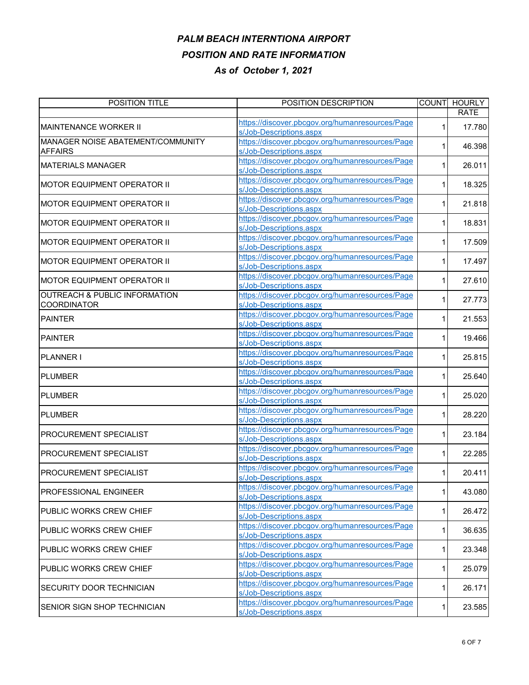| POSITION TITLE                           | POSITION DESCRIPTION                                                       |   | COUNT HOURLY |
|------------------------------------------|----------------------------------------------------------------------------|---|--------------|
|                                          | https://discover.pbcgov.org/humanresources/Page                            |   | <b>RATE</b>  |
| <b>IMAINTENANCE WORKER II</b>            | s/Job-Descriptions.aspx                                                    |   | 17.780       |
| MANAGER NOISE ABATEMENT/COMMUNITY        | https://discover.pbcgov.org/humanresources/Page                            |   |              |
| <b>AFFAIRS</b>                           | s/Job-Descriptions.aspx                                                    |   | 46.398       |
|                                          | https://discover.pbcgov.org/humanresources/Page                            |   |              |
| <b>IMATERIALS MANAGER</b>                | s/Job-Descriptions.aspx                                                    |   | 26.011       |
| MOTOR EQUIPMENT OPERATOR II              | https://discover.pbcgov.org/humanresources/Page                            |   | 18.325       |
|                                          | s/Job-Descriptions.aspx                                                    |   |              |
| MOTOR EQUIPMENT OPERATOR II              | https://discover.pbcgov.org/humanresources/Page                            |   | 21.818       |
|                                          | s/Job-Descriptions.aspx                                                    |   |              |
| MOTOR EQUIPMENT OPERATOR II              | https://discover.pbcgov.org/humanresources/Page                            | 1 | 18.831       |
|                                          | s/Job-Descriptions.aspx                                                    |   |              |
| <b>MOTOR EQUIPMENT OPERATOR II</b>       | https://discover.pbcgov.org/humanresources/Page                            |   | 17.509       |
|                                          | s/Job-Descriptions.aspx                                                    |   |              |
| <b>MOTOR EQUIPMENT OPERATOR II</b>       | https://discover.pbcgov.org/humanresources/Page                            |   | 17.497       |
|                                          | s/Job-Descriptions.aspx                                                    |   |              |
| <b>MOTOR EQUIPMENT OPERATOR II</b>       | https://discover.pbcgov.org/humanresources/Page                            |   | 27.610       |
| <b>OUTREACH &amp; PUBLIC INFORMATION</b> | s/Job-Descriptions.aspx<br>https://discover.pbcgov.org/humanresources/Page |   |              |
| <b>COORDINATOR</b>                       | s/Job-Descriptions.aspx                                                    |   | 27.773       |
|                                          | https://discover.pbcgov.org/humanresources/Page                            |   |              |
| <b>PAINTER</b>                           | s/Job-Descriptions.aspx                                                    |   | 21.553       |
|                                          | https://discover.pbcgov.org/humanresources/Page                            |   |              |
| <b>PAINTER</b>                           | s/Job-Descriptions.aspx                                                    |   | 19.466       |
|                                          | https://discover.pbcgov.org/humanresources/Page                            |   |              |
| <b>PLANNER I</b>                         | s/Job-Descriptions.aspx                                                    |   | 25.815       |
|                                          | https://discover.pbcgov.org/humanresources/Page                            |   |              |
| <b>PLUMBER</b>                           | s/Job-Descriptions.aspx                                                    |   | 25.640       |
|                                          | https://discover.pbcgov.org/humanresources/Page                            |   |              |
| <b>PLUMBER</b>                           | s/Job-Descriptions.aspx                                                    |   | 25.020       |
| <b>PLUMBER</b>                           | https://discover.pbcgov.org/humanresources/Page                            | 1 | 28.220       |
|                                          | s/Job-Descriptions.aspx                                                    |   |              |
| PROCUREMENT SPECIALIST                   | https://discover.pbcgov.org/humanresources/Page                            |   | 23.184       |
|                                          | s/Job-Descriptions.aspx                                                    |   |              |
| <b>PROCUREMENT SPECIALIST</b>            | https://discover.pbcgov.org/humanresources/Page                            |   | 22.285       |
|                                          | s/Job-Descriptions.aspx                                                    |   |              |
| <b>PROCUREMENT SPECIALIST</b>            | https://discover.pbcgov.org/humanresources/Page                            |   | 20.411       |
|                                          | s/Job-Descriptions.aspx                                                    |   |              |
| <b>PROFESSIONAL ENGINEER</b>             | https://discover.pbcgov.org/humanresources/Page<br>s/Job-Descriptions.aspx | 1 | 43.080       |
|                                          | https://discover.pbcgov.org/humanresources/Page                            |   |              |
| PUBLIC WORKS CREW CHIEF                  | s/Job-Descriptions.aspx                                                    | 1 | 26.472       |
|                                          | https://discover.pbcgov.org/humanresources/Page                            |   |              |
| <b>PUBLIC WORKS CREW CHIEF</b>           | s/Job-Descriptions.aspx                                                    | 1 | 36.635       |
| PUBLIC WORKS CREW CHIEF                  | https://discover.pbcgov.org/humanresources/Page                            |   |              |
|                                          | s/Job-Descriptions.aspx                                                    | 1 | 23.348       |
| <b>I</b> PUBLIC WORKS CREW CHIEF         | https://discover.pbcgov.org/humanresources/Page                            |   |              |
|                                          | s/Job-Descriptions.aspx                                                    | 1 | 25.079       |
| <b>SECURITY DOOR TECHNICIAN</b>          | https://discover.pbcgov.org/humanresources/Page                            |   | 26.171       |
|                                          | s/Job-Descriptions.aspx                                                    |   |              |
| SENIOR SIGN SHOP TECHNICIAN              | https://discover.pbcgov.org/humanresources/Page                            | 1 | 23.585       |
|                                          | s/Job-Descriptions.aspx                                                    |   |              |